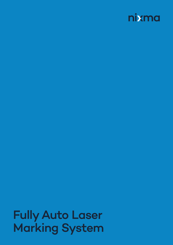

# Fully Auto Laser Marking System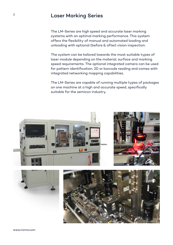## **Laser Marking Series**

The LM-Series are high speed and accurate laser marking systems with an optimal marking performance. This system offers the flexibility of manual and automated loading and unloading with optional (before & after) vision inspection.

The system can be tailored towards the most suitable types of laser module depending on the material, surface and marking speed requirements. The optional integrated camera can be used for pattern identification, 2D or barcode reading and comes with integrated networking mapping capabilities.

The LM-Series are capable of running multiple types of packages on one machine at a high and accurate speed, specifically suitable for the semicon industry.





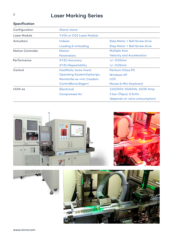## **Laser Marking Series**

| Specification            |                                    |                                  |
|--------------------------|------------------------------------|----------------------------------|
| Configuration            | Stand-alone                        |                                  |
| Laser Module             | <b>YV04 or CO2 Laser Module</b>    |                                  |
| Actuators                | Indexer                            | Step Motor + Ball Screw drive    |
|                          | <b>Loading &amp; Unloading</b>     | Step Motor + Ball Screw drive    |
| <b>Motion Controller</b> | <b>Motion</b>                      | <b>Multiple Axis</b>             |
|                          | <b>Parameters</b>                  | <b>Velocity and Acceleration</b> |
| Performance              | <b>XYZU Accuracy</b>               | $+/- 0.02$ mm                    |
|                          | <b>XYZU Repeatablity</b>           | $+/- 0.05$ mm                    |
| Control                  | HostMulis, teres iment.            | <b>Pentium Class PC</b>          |
|                          | <b>Operating SystemCiptiorips,</b> | <b>Windows XP</b>                |
|                          | MonitorGo es virit; Casdam.        | <b>LCD</b>                       |
|                          | ControlBonsullegerri               | Mouse & Mini Keyboard            |
| Utiliti es               | <b>Electrical</b>                  | 110/250V, 50/60Hz, 10/20 Amp     |
|                          | <b>Compressed Air</b>              | 5 bar (70psi), 0.5cfm            |
|                          |                                    | (depends on valve consumption)   |